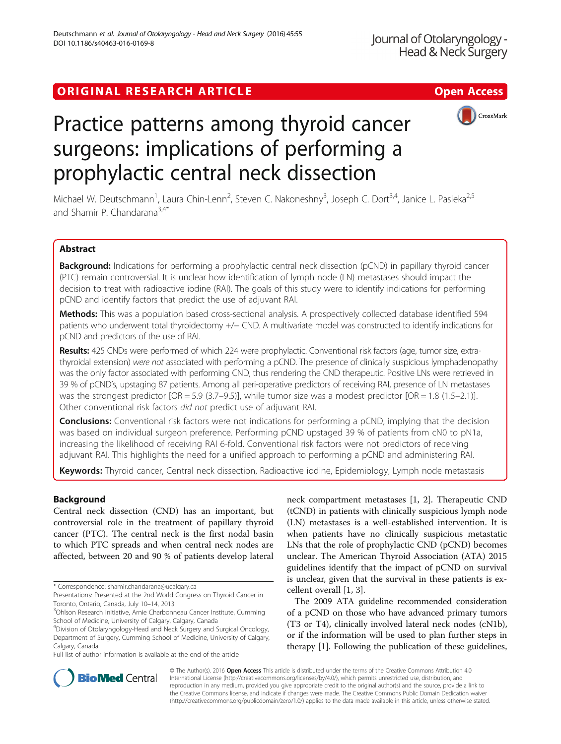## ORIGINAL RESEARCH ARTICLE **External of the Contract Contract Contract Contract Contract Contract Contract Contract Contract Contract Contract Contract Contract Contract Contract Contract Contract Contract Contract Contract**



# Practice patterns among thyroid cancer surgeons: implications of performing a prophylactic central neck dissection

Michael W. Deutschmann<sup>1</sup>, Laura Chin-Lenn<sup>2</sup>, Steven C. Nakoneshny<sup>3</sup>, Joseph C. Dort<sup>3,4</sup>, Janice L. Pasieka<sup>2,5</sup> and Shamir P. Chandarana<sup>3,4\*</sup>

## Abstract

Background: Indications for performing a prophylactic central neck dissection (pCND) in papillary thyroid cancer (PTC) remain controversial. It is unclear how identification of lymph node (LN) metastases should impact the decision to treat with radioactive iodine (RAI). The goals of this study were to identify indications for performing pCND and identify factors that predict the use of adjuvant RAI.

Methods: This was a population based cross-sectional analysis. A prospectively collected database identified 594 patients who underwent total thyroidectomy +/− CND. A multivariate model was constructed to identify indications for pCND and predictors of the use of RAI.

Results: 425 CNDs were performed of which 224 were prophylactic. Conventional risk factors (age, tumor size, extrathyroidal extension) were not associated with performing a pCND. The presence of clinically suspicious lymphadenopathy was the only factor associated with performing CND, thus rendering the CND therapeutic. Positive LNs were retrieved in 39 % of pCND's, upstaging 87 patients. Among all peri-operative predictors of receiving RAI, presence of LN metastases was the strongest predictor  $[OR = 5.9 (3.7–9.5)]$ , while tumor size was a modest predictor  $[OR = 1.8 (1.5–2.1)]$ . Other conventional risk factors did not predict use of adjuvant RAI.

**Conclusions:** Conventional risk factors were not indications for performing a pCND, implying that the decision was based on individual surgeon preference. Performing pCND upstaged 39 % of patients from cN0 to pN1a, increasing the likelihood of receiving RAI 6-fold. Conventional risk factors were not predictors of receiving adjuvant RAI. This highlights the need for a unified approach to performing a pCND and administering RAI.

Keywords: Thyroid cancer, Central neck dissection, Radioactive iodine, Epidemiology, Lymph node metastasis

## Background

Central neck dissection (CND) has an important, but controversial role in the treatment of papillary thyroid cancer (PTC). The central neck is the first nodal basin to which PTC spreads and when central neck nodes are affected, between 20 and 90 % of patients develop lateral

\* Correspondence: [shamir.chandarana@ucalgary.ca](mailto:shamir.chandarana@ucalgary.ca)

<sup>3</sup>Ohlson Research Initiative, Arnie Charbonneau Cancer Institute, Cumming School of Medicine, University of Calgary, Calgary, Canada

Full list of author information is available at the end of the article

neck compartment metastases [\[1](#page-4-0), [2\]](#page-4-0). Therapeutic CND (tCND) in patients with clinically suspicious lymph node (LN) metastases is a well-established intervention. It is when patients have no clinically suspicious metastatic LNs that the role of prophylactic CND (pCND) becomes unclear. The American Thyroid Association (ATA) 2015 guidelines identify that the impact of pCND on survival is unclear, given that the survival in these patients is excellent overall [[1, 3\]](#page-4-0).

The 2009 ATA guideline recommended consideration of a pCND on those who have advanced primary tumors (T3 or T4), clinically involved lateral neck nodes (cN1b), or if the information will be used to plan further steps in therapy [\[1](#page-4-0)]. Following the publication of these guidelines,



© The Author(s). 2016 Open Access This article is distributed under the terms of the Creative Commons Attribution 4.0 International License [\(http://creativecommons.org/licenses/by/4.0/](http://creativecommons.org/licenses/by/4.0/)), which permits unrestricted use, distribution, and reproduction in any medium, provided you give appropriate credit to the original author(s) and the source, provide a link to the Creative Commons license, and indicate if changes were made. The Creative Commons Public Domain Dedication waiver [\(http://creativecommons.org/publicdomain/zero/1.0/](http://creativecommons.org/publicdomain/zero/1.0/)) applies to the data made available in this article, unless otherwise stated.

Presentations: Presented at the 2nd World Congress on Thyroid Cancer in Toronto, Ontario, Canada, July 10-14, 2013

<sup>4</sup> Division of Otolaryngology-Head and Neck Surgery and Surgical Oncology, Department of Surgery, Cumming School of Medicine, University of Calgary, Calgary, Canada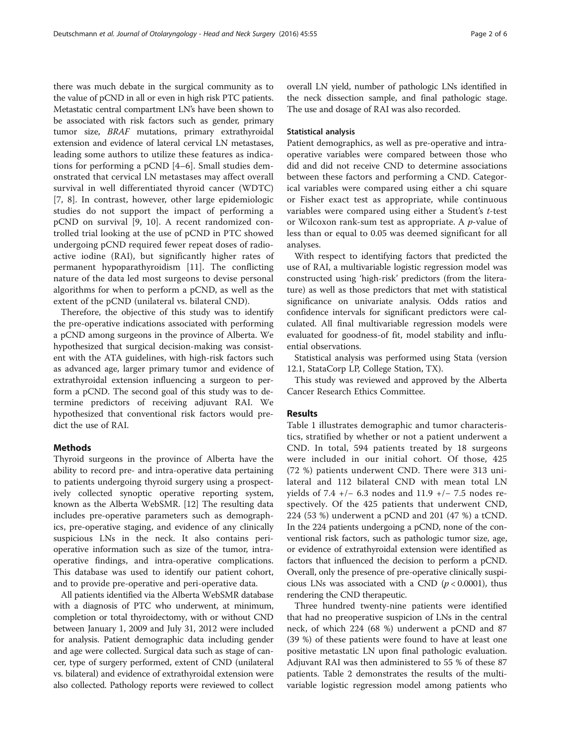<span id="page-1-0"></span>there was much debate in the surgical community as to the value of pCND in all or even in high risk PTC patients. Metastatic central compartment LN's have been shown to be associated with risk factors such as gender, primary tumor size, BRAF mutations, primary extrathyroidal extension and evidence of lateral cervical LN metastases, leading some authors to utilize these features as indications for performing a pCND [[4](#page-4-0)–[6](#page-4-0)]. Small studies demonstrated that cervical LN metastases may affect overall survival in well differentiated thyroid cancer (WDTC) [[7, 8\]](#page-5-0). In contrast, however, other large epidemiologic studies do not support the impact of performing a pCND on survival [[9, 10](#page-5-0)]. A recent randomized controlled trial looking at the use of pCND in PTC showed undergoing pCND required fewer repeat doses of radioactive iodine (RAI), but significantly higher rates of permanent hypoparathyroidism [\[11](#page-5-0)]. The conflicting nature of the data led most surgeons to devise personal algorithms for when to perform a pCND, as well as the extent of the pCND (unilateral vs. bilateral CND).

Therefore, the objective of this study was to identify the pre-operative indications associated with performing a pCND among surgeons in the province of Alberta. We hypothesized that surgical decision-making was consistent with the ATA guidelines, with high-risk factors such as advanced age, larger primary tumor and evidence of extrathyroidal extension influencing a surgeon to perform a pCND. The second goal of this study was to determine predictors of receiving adjuvant RAI. We hypothesized that conventional risk factors would predict the use of RAI.

## Methods

Thyroid surgeons in the province of Alberta have the ability to record pre- and intra-operative data pertaining to patients undergoing thyroid surgery using a prospectively collected synoptic operative reporting system, known as the Alberta WebSMR. [\[12\]](#page-5-0) The resulting data includes pre-operative parameters such as demographics, pre-operative staging, and evidence of any clinically suspicious LNs in the neck. It also contains perioperative information such as size of the tumor, intraoperative findings, and intra-operative complications. This database was used to identify our patient cohort, and to provide pre-operative and peri-operative data.

All patients identified via the Alberta WebSMR database with a diagnosis of PTC who underwent, at minimum, completion or total thyroidectomy, with or without CND between January 1, 2009 and July 31, 2012 were included for analysis. Patient demographic data including gender and age were collected. Surgical data such as stage of cancer, type of surgery performed, extent of CND (unilateral vs. bilateral) and evidence of extrathyroidal extension were also collected. Pathology reports were reviewed to collect overall LN yield, number of pathologic LNs identified in the neck dissection sample, and final pathologic stage. The use and dosage of RAI was also recorded.

### Statistical analysis

Patient demographics, as well as pre-operative and intraoperative variables were compared between those who did and did not receive CND to determine associations between these factors and performing a CND. Categorical variables were compared using either a chi square or Fisher exact test as appropriate, while continuous variables were compared using either a Student's t-test or Wilcoxon rank-sum test as appropriate. A  $p$ -value of less than or equal to 0.05 was deemed significant for all analyses.

With respect to identifying factors that predicted the use of RAI, a multivariable logistic regression model was constructed using 'high-risk' predictors (from the literature) as well as those predictors that met with statistical significance on univariate analysis. Odds ratios and confidence intervals for significant predictors were calculated. All final multivariable regression models were evaluated for goodness-of fit, model stability and influential observations.

Statistical analysis was performed using Stata (version 12.1, StataCorp LP, College Station, TX).

This study was reviewed and approved by the Alberta Cancer Research Ethics Committee.

#### Results

Table [1](#page-2-0) illustrates demographic and tumor characteristics, stratified by whether or not a patient underwent a CND. In total, 594 patients treated by 18 surgeons were included in our initial cohort. Of those, 425 (72 %) patients underwent CND. There were 313 unilateral and 112 bilateral CND with mean total LN yields of 7.4 +/− 6.3 nodes and 11.9 +/− 7.5 nodes respectively. Of the 425 patients that underwent CND, 224 (53 %) underwent a pCND and 201 (47 %) a tCND. In the 224 patients undergoing a pCND, none of the conventional risk factors, such as pathologic tumor size, age, or evidence of extrathyroidal extension were identified as factors that influenced the decision to perform a pCND. Overall, only the presence of pre-operative clinically suspicious LNs was associated with a CND ( $p < 0.0001$ ), thus rendering the CND therapeutic.

Three hundred twenty-nine patients were identified that had no preoperative suspicion of LNs in the central neck, of which 224 (68 %) underwent a pCND and 87 (39 %) of these patients were found to have at least one positive metastatic LN upon final pathologic evaluation. Adjuvant RAI was then administered to 55 % of these 87 patients. Table [2](#page-2-0) demonstrates the results of the multivariable logistic regression model among patients who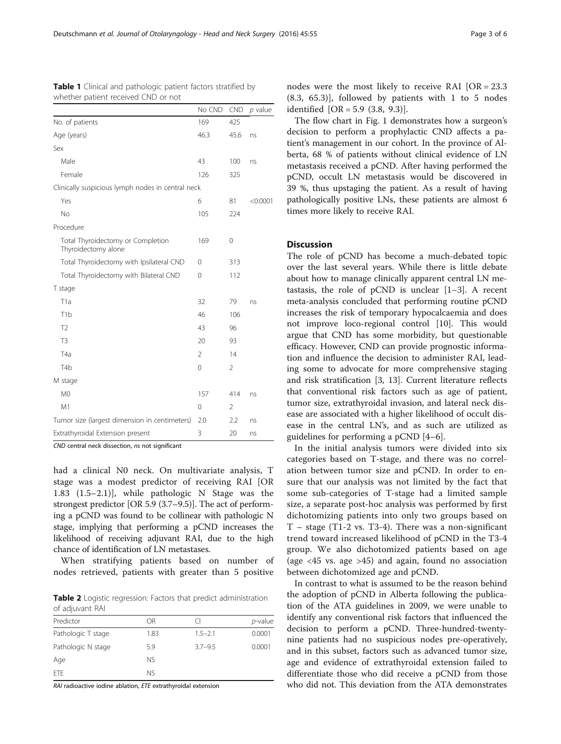CND central neck dissection, ns not significant

had a clinical N0 neck. On multivariate analysis, T stage was a modest predictor of receiving RAI [OR 1.83 (1.5–2.1)], while pathologic N Stage was the strongest predictor [OR 5.9 (3.7–9.5)]. The act of performing a pCND was found to be collinear with pathologic N stage, implying that performing a pCND increases the likelihood of receiving adjuvant RAI, due to the high chance of identification of LN metastases.

When stratifying patients based on number of nodes retrieved, patients with greater than 5 positive

Table 2 Logistic regression: Factors that predict administration of adjuvant RAI

| Predictor          | ΟR        |             | <i>p</i> -value |
|--------------------|-----------|-------------|-----------------|
| Pathologic T stage | 1.83      | $1.5 - 2.1$ | 0.0001          |
| Pathologic N stage | 5.9       | $3.7 - 9.5$ | 0.0001          |
| Age                | <b>NS</b> |             |                 |
| FTF                | <b>NS</b> |             |                 |

RAI radioactive iodine ablation, ETE extrathyroidal extension

No CND CND p value

169 0

<span id="page-2-0"></span>Table 1 Clinical and pathologic patient factors stratified by

Male 100 ns Female 126 325

Yes 6 81 <0.0001

No 105 224

Total Thyroidectomy with Ipsilateral CND 0 313 Total Thyroidectomy with Bilateral CND 0 112

T1a 32 79 ns T1b 46 106 T2 43 96 T3 20 93 T4a 2 14 T4b 0 2

M0 157 414 ns  $M1$  0 2 Tumor size (largest dimension in centimeters) 2.0 2.2 ns Extrathyroidal Extension present 3 3 20 ns

No. of patients 169 425 Age (years) 46.3 45.6 ns

whether patient received CND or not

Clinically suspicious lymph nodes in central neck

Total Thyroidectomy or Completion

Thyroidectomy alone

Sex

Procedure

T stage

M stage

| nodes were the most likely to receive RAI $[OR = 23.3]$ |  |  |  |  |  |
|---------------------------------------------------------|--|--|--|--|--|
| $(8.3, 65.3)$ ], followed by patients with 1 to 5 nodes |  |  |  |  |  |
| identified $[OR = 5.9 (3.8, 9.3)].$                     |  |  |  |  |  |

The flow chart in Fig. [1](#page-3-0) demonstrates how a surgeon's decision to perform a prophylactic CND affects a patient's management in our cohort. In the province of Alberta, 68 % of patients without clinical evidence of LN metastasis received a pCND. After having performed the pCND, occult LN metastasis would be discovered in 39 %, thus upstaging the patient. As a result of having pathologically positive LNs, these patients are almost 6 times more likely to receive RAI.

#### **Discussion**

The role of pCND has become a much-debated topic over the last several years. While there is little debate about how to manage clinically apparent central LN metastasis, the role of pCND is unclear [[1](#page-4-0)–[3\]](#page-4-0). A recent meta-analysis concluded that performing routine pCND increases the risk of temporary hypocalcaemia and does not improve loco-regional control [\[10](#page-5-0)]. This would argue that CND has some morbidity, but questionable efficacy. However, CND can provide prognostic information and influence the decision to administer RAI, leading some to advocate for more comprehensive staging and risk stratification [\[3](#page-4-0), [13](#page-5-0)]. Current literature reflects that conventional risk factors such as age of patient, tumor size, extrathyroidal invasion, and lateral neck disease are associated with a higher likelihood of occult disease in the central LN's, and as such are utilized as guidelines for performing a pCND [[4](#page-4-0)–[6\]](#page-4-0).

In the initial analysis tumors were divided into six categories based on T-stage, and there was no correlation between tumor size and pCND. In order to ensure that our analysis was not limited by the fact that some sub-categories of T-stage had a limited sample size, a separate post-hoc analysis was performed by first dichotomizing patients into only two groups based on  $T$  – stage (T1-2 vs. T3-4). There was a non-significant trend toward increased likelihood of pCND in the T3-4 group. We also dichotomized patients based on age (age <45 vs. age >45) and again, found no association between dichotomized age and pCND.

In contrast to what is assumed to be the reason behind the adoption of pCND in Alberta following the publication of the ATA guidelines in 2009, we were unable to identify any conventional risk factors that influenced the decision to perform a pCND. Three-hundred-twentynine patients had no suspicious nodes pre-operatively, and in this subset, factors such as advanced tumor size, age and evidence of extrathyroidal extension failed to differentiate those who did receive a pCND from those who did not. This deviation from the ATA demonstrates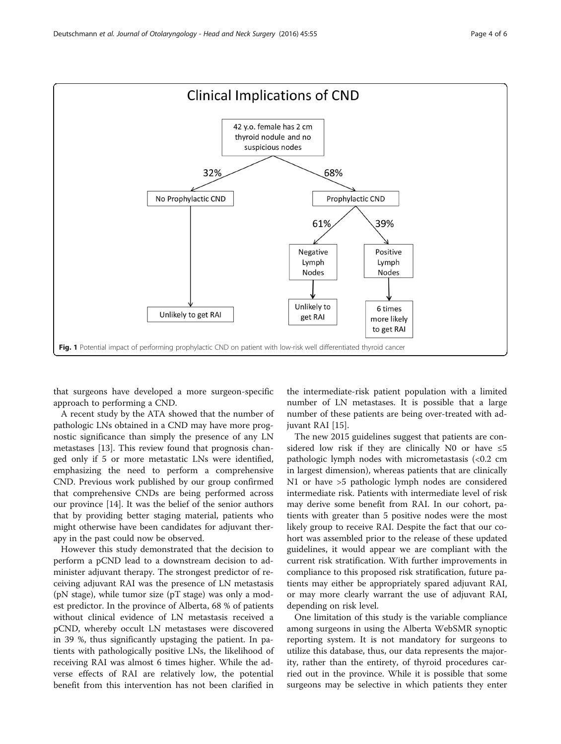<span id="page-3-0"></span>

that surgeons have developed a more surgeon-specific approach to performing a CND.

A recent study by the ATA showed that the number of pathologic LNs obtained in a CND may have more prognostic significance than simply the presence of any LN metastases [\[13\]](#page-5-0). This review found that prognosis changed only if 5 or more metastatic LNs were identified, emphasizing the need to perform a comprehensive CND. Previous work published by our group confirmed that comprehensive CNDs are being performed across our province [[14\]](#page-5-0). It was the belief of the senior authors that by providing better staging material, patients who might otherwise have been candidates for adjuvant therapy in the past could now be observed.

However this study demonstrated that the decision to perform a pCND lead to a downstream decision to administer adjuvant therapy. The strongest predictor of receiving adjuvant RAI was the presence of LN metastasis (pN stage), while tumor size (pT stage) was only a modest predictor. In the province of Alberta, 68 % of patients without clinical evidence of LN metastasis received a pCND, whereby occult LN metastases were discovered in 39 %, thus significantly upstaging the patient. In patients with pathologically positive LNs, the likelihood of receiving RAI was almost 6 times higher. While the adverse effects of RAI are relatively low, the potential benefit from this intervention has not been clarified in

the intermediate-risk patient population with a limited number of LN metastases. It is possible that a large number of these patients are being over-treated with adjuvant RAI [[15](#page-5-0)].

The new 2015 guidelines suggest that patients are considered low risk if they are clinically N0 or have  $\leq 5$ pathologic lymph nodes with micrometastasis (<0.2 cm in largest dimension), whereas patients that are clinically N1 or have >5 pathologic lymph nodes are considered intermediate risk. Patients with intermediate level of risk may derive some benefit from RAI. In our cohort, patients with greater than 5 positive nodes were the most likely group to receive RAI. Despite the fact that our cohort was assembled prior to the release of these updated guidelines, it would appear we are compliant with the current risk stratification. With further improvements in compliance to this proposed risk stratification, future patients may either be appropriately spared adjuvant RAI, or may more clearly warrant the use of adjuvant RAI, depending on risk level.

One limitation of this study is the variable compliance among surgeons in using the Alberta WebSMR synoptic reporting system. It is not mandatory for surgeons to utilize this database, thus, our data represents the majority, rather than the entirety, of thyroid procedures carried out in the province. While it is possible that some surgeons may be selective in which patients they enter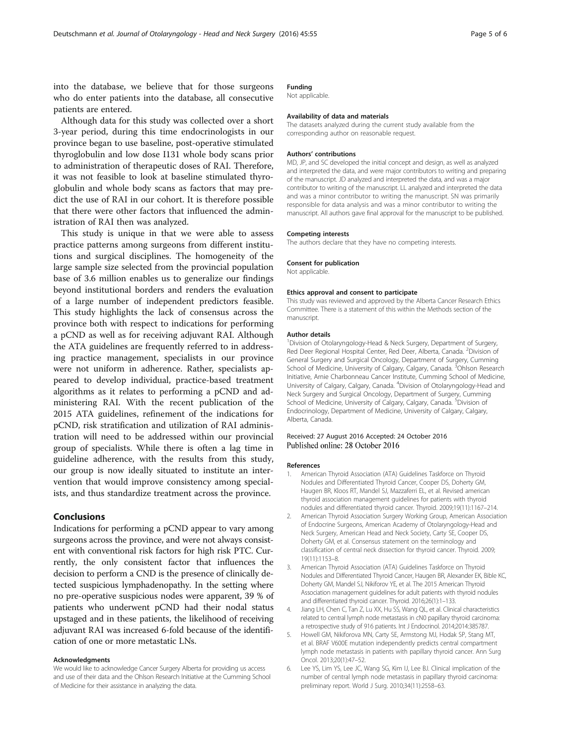<span id="page-4-0"></span>into the database, we believe that for those surgeons who do enter patients into the database, all consecutive patients are entered.

Although data for this study was collected over a short 3-year period, during this time endocrinologists in our province began to use baseline, post-operative stimulated thyroglobulin and low dose I131 whole body scans prior to administration of therapeutic doses of RAI. Therefore, it was not feasible to look at baseline stimulated thyroglobulin and whole body scans as factors that may predict the use of RAI in our cohort. It is therefore possible that there were other factors that influenced the administration of RAI then was analyzed.

This study is unique in that we were able to assess practice patterns among surgeons from different institutions and surgical disciplines. The homogeneity of the large sample size selected from the provincial population base of 3.6 million enables us to generalize our findings beyond institutional borders and renders the evaluation of a large number of independent predictors feasible. This study highlights the lack of consensus across the province both with respect to indications for performing a pCND as well as for receiving adjuvant RAI. Although the ATA guidelines are frequently referred to in addressing practice management, specialists in our province were not uniform in adherence. Rather, specialists appeared to develop individual, practice-based treatment algorithms as it relates to performing a pCND and administering RAI. With the recent publication of the 2015 ATA guidelines, refinement of the indications for pCND, risk stratification and utilization of RAI administration will need to be addressed within our provincial group of specialists. While there is often a lag time in guideline adherence, with the results from this study, our group is now ideally situated to institute an intervention that would improve consistency among specialists, and thus standardize treatment across the province.

#### Conclusions

Indications for performing a pCND appear to vary among surgeons across the province, and were not always consistent with conventional risk factors for high risk PTC. Currently, the only consistent factor that influences the decision to perform a CND is the presence of clinically detected suspicious lymphadenopathy. In the setting where no pre-operative suspicious nodes were apparent, 39 % of patients who underwent pCND had their nodal status upstaged and in these patients, the likelihood of receiving adjuvant RAI was increased 6-fold because of the identification of one or more metastatic LNs.

#### Acknowledgments

We would like to acknowledge Cancer Surgery Alberta for providing us access and use of their data and the Ohlson Research Initiative at the Cumming School of Medicine for their assistance in analyzing the data.

#### Funding Not applicable.

#### Availability of data and materials

The datasets analyzed during the current study available from the corresponding author on reasonable request.

#### Authors' contributions

MD, JP, and SC developed the initial concept and design, as well as analyzed and interpreted the data, and were major contributors to writing and preparing of the manuscript. JD analyzed and interpreted the data, and was a major contributor to writing of the manuscript. LL analyzed and interpreted the data and was a minor contributor to writing the manuscript. SN was primarily responsible for data analysis and was a minor contributor to writing the manuscript. All authors gave final approval for the manuscript to be published.

#### Competing interests

The authors declare that they have no competing interests.

#### Consent for publication

Not applicable.

#### Ethics approval and consent to participate

This study was reviewed and approved by the Alberta Cancer Research Ethics Committee. There is a statement of this within the [Methods](#page-1-0) section of the manuscript.

#### Author details

<sup>1</sup> Division of Otolaryngology-Head & Neck Surgery, Department of Surgery Red Deer Regional Hospital Center, Red Deer, Alberta, Canada. <sup>2</sup>Division of General Surgery and Surgical Oncology, Department of Surgery, Cumming School of Medicine, University of Calgary, Calgary, Canada. <sup>3</sup>Ohlson Research Initiative, Arnie Charbonneau Cancer Institute, Cumming School of Medicine, University of Calgary, Calgary, Canada. <sup>4</sup>Division of Otolaryngology-Head and Neck Surgery and Surgical Oncology, Department of Surgery, Cumming School of Medicine, University of Calgary, Calgary, Canada. <sup>5</sup> Division of Endocrinology, Department of Medicine, University of Calgary, Calgary, Alberta, Canada.

#### Received: 27 August 2016 Accepted: 24 October 2016 Published online: 28 October 2016

#### References

- 1. American Thyroid Association (ATA) Guidelines Taskforce on Thyroid Nodules and Differentiated Thyroid Cancer, Cooper DS, Doherty GM, Haugen BR, Kloos RT, Mandel SJ, Mazzaferri EL, et al. Revised american thyroid association management guidelines for patients with thyroid nodules and differentiated thyroid cancer. Thyroid. 2009;19(11):1167–214.
- 2. American Thyroid Association Surgery Working Group, American Association of Endocrine Surgeons, American Academy of Otolaryngology-Head and Neck Surgery, American Head and Neck Society, Carty SE, Cooper DS, Doherty GM, et al. Consensus statement on the terminology and classification of central neck dissection for thyroid cancer. Thyroid. 2009; 19(11):1153–8.
- 3. American Thyroid Association (ATA) Guidelines Taskforce on Thyroid Nodules and Differentiated Thyroid Cancer, Haugen BR, Alexander EK, Bible KC, Doherty GM, Mandel SJ, Nikiforov YE, et al. The 2015 American Thyroid Association management guidelines for adult patients with thyroid nodules and differentiated thyroid cancer. Thyroid. 2016;26(1):1–133.
- Jiang LH, Chen C, Tan Z, Lu XX, Hu SS, Wang QL, et al. Clinical characteristics related to central lymph node metastasis in cN0 papillary thyroid carcinoma: a retrospective study of 916 patients. Int J Endocrinol. 2014;2014:385787.
- 5. Howell GM, Nikiforova MN, Carty SE, Armstong MJ, Hodak SP, Stang MT, et al. BRAF V600E mutation independently predicts central compartment lymph node metastasis in patients with papillary thyroid cancer. Ann Surg Oncol. 2013;20(1):47–52.
- 6. Lee YS, Lim YS, Lee JC, Wang SG, Kim IJ, Lee BJ. Clinical implication of the number of central lymph node metastasis in papillary thyroid carcinoma: preliminary report. World J Surg. 2010;34(11):2558–63.